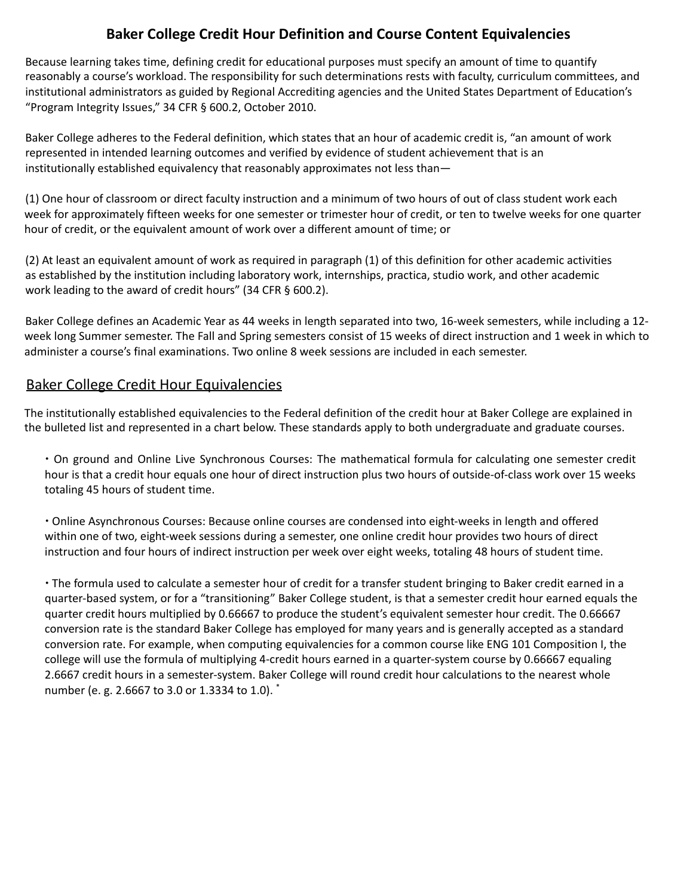## **Baker College Credit Hour Definition and Course Content Equivalencies**

Because learning takes time, defining credit for educational purposes must specify an amount of time to quantify reasonably a course's workload. The responsibility for such determinations rests with faculty, curriculum committees, and institutional administrators as guided by Regional Accrediting agencies and the United States Department of Education's "Program Integrity Issues," 34 CFR § 600.2, October 2010.

Baker College adheres to the Federal definition, which states that an hour of academic credit is, "an amount of work represented in intended learning outcomes and verified by evidence of student achievement that is an institutionally established equivalency that reasonably approximates not less than—

(1) One hour of classroom or direct faculty instruction and a minimum of two hours of out of class student work each week for approximately fifteen weeks for one semester or trimester hour of credit, or ten to twelve weeks for one quarter hour of credit, or the equivalent amount of work over a different amount of time; or

(2) At least an equivalent amount of work as required in paragraph (1) of this definition for other academic activities as established by the institution including laboratory work, internships, practica, studio work, and other academic work leading to the award of credit hours" (34 CFR § 600.2).

Baker College defines an Academic Year as 44 weeks in length separated into two, 16-week semesters, while including a 12 week long Summer semester. The Fall and Spring semesters consist of 15 weeks of direct instruction and 1 week in which to administer a course's final examinations. Two online 8 week sessions are included in each semester.

## Baker College Credit Hour Equivalencies

The institutionally established equivalencies to the Federal definition of the credit hour at Baker College are explained in the bulleted list and represented in a chart below. These standards apply to both undergraduate and graduate courses.

∙ On ground and Online Live Synchronous Courses: The mathematical formula for calculating one semester credit hour is that a credit hour equals one hour of direct instruction plus two hours of outside-of-class work over 15 weeks totaling 45 hours of student time.

∙ Online Asynchronous Courses: Because online courses are condensed into eight-weeks in length and offered within one of two, eight-week sessions during a semester, one online credit hour provides two hours of direct instruction and four hours of indirect instruction per week over eight weeks, totaling 48 hours of student time.

∙ The formula used to calculate a semester hour of credit for a transfer student bringing to Baker credit earned in a quarter-based system, or for a "transitioning" Baker College student, is that a semester credit hour earned equals the quarter credit hours multiplied by 0.66667 to produce the student's equivalent semester hour credit. The 0.66667 conversion rate is the standard Baker College has employed for many years and is generally accepted as a standard conversion rate. For example, when computing equivalencies for a common course like ENG 101 Composition I, the college will use the formula of multiplying 4-credit hours earned in a quarter-system course by 0.66667 equaling 2.6667 credit hours in a semester-system. Baker College will round credit hour calculations to the nearest whole number (e. g. 2.6667 to 3.0 or 1.3334 to 1.0). \*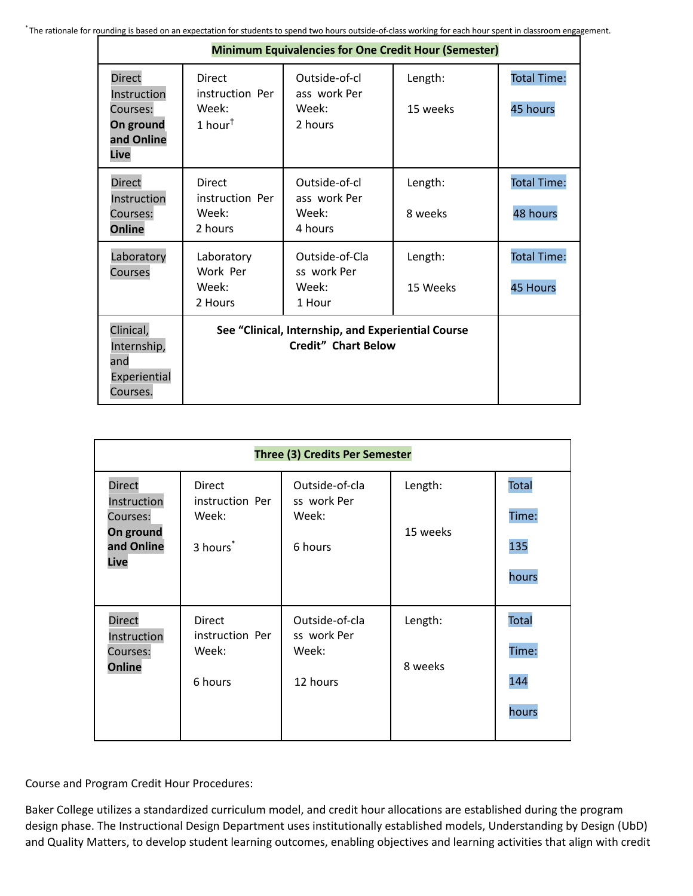| <b>Minimum Equivalencies for One Credit Hour (Semester)</b>                 |                                                                                     |                                                   |                     |                                       |
|-----------------------------------------------------------------------------|-------------------------------------------------------------------------------------|---------------------------------------------------|---------------------|---------------------------------------|
| <b>Direct</b><br>Instruction<br>Courses:<br>On ground<br>and Online<br>Live | <b>Direct</b><br>instruction Per<br>Week:<br>1 hour <sup><math>\dagger</math></sup> | Outside-of-cl<br>ass work Per<br>Week:<br>2 hours | Length:<br>15 weeks | <b>Total Time:</b><br>45 hours        |
| <b>Direct</b><br>Instruction<br>Courses:<br><b>Online</b>                   | <b>Direct</b><br>instruction Per<br>Week:<br>2 hours                                | Outside-of-cl<br>ass work Per<br>Week:<br>4 hours | Length:<br>8 weeks  | <b>Total Time:</b><br>48 hours        |
| Laboratory<br>Courses                                                       | Laboratory<br>Work Per<br>Week:<br>2 Hours                                          | Outside-of-Cla<br>ss work Per<br>Week:<br>1 Hour  | Length:<br>15 Weeks | <b>Total Time:</b><br><b>45 Hours</b> |
| Clinical,<br>Internship,<br>and<br>Experiential<br>Courses.                 | See "Clinical, Internship, and Experiential Course<br><b>Credit" Chart Below</b>    |                                                   |                     |                                       |

| Three (3) Credits Per Semester                                              |                                                                   |                                                    |                     |                                       |
|-----------------------------------------------------------------------------|-------------------------------------------------------------------|----------------------------------------------------|---------------------|---------------------------------------|
| <b>Direct</b><br>Instruction<br>Courses:<br>On ground<br>and Online<br>Live | <b>Direct</b><br>instruction Per<br>Week:<br>3 hours <sup>*</sup> | Outside-of-cla<br>ss work Per<br>Week:<br>6 hours  | Length:<br>15 weeks | <b>Total</b><br>Time:<br>135<br>hours |
| <b>Direct</b><br>Instruction<br>Courses:<br><b>Online</b>                   | Direct<br>instruction Per<br>Week:<br>6 hours                     | Outside-of-cla<br>ss work Per<br>Week:<br>12 hours | Length:<br>8 weeks  | <b>Total</b><br>Time:<br>144<br>hours |

Course and Program Credit Hour Procedures:

Baker College utilizes a standardized curriculum model, and credit hour allocations are established during the program design phase. The Instructional Design Department uses institutionally established models, Understanding by Design (UbD) and Quality Matters, to develop student learning outcomes, enabling objectives and learning activities that align with credit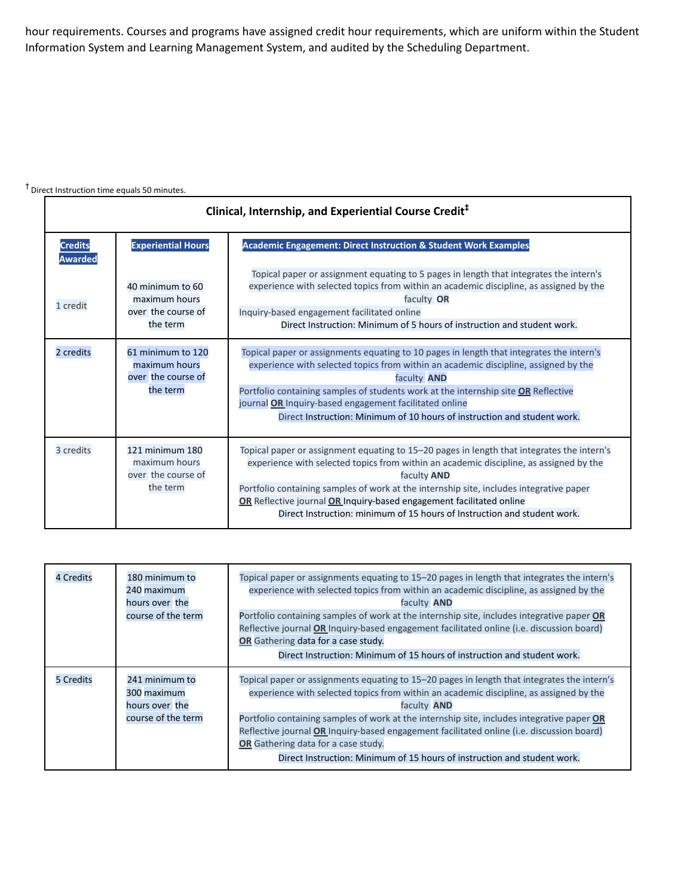hour requirements. Courses and programs have assigned credit hour requirements, which are uniform within the Student Information System and Learning Management System, and audited by the Scheduling Department.

## † Direct Instruction time equals <sup>50</sup> minutes.

| Clinical, Internship, and Experiential Course Credit <sup>‡</sup> |                                                                      |                                                                                                                                                                                                                                                                                                                                                                                                                                                           |
|-------------------------------------------------------------------|----------------------------------------------------------------------|-----------------------------------------------------------------------------------------------------------------------------------------------------------------------------------------------------------------------------------------------------------------------------------------------------------------------------------------------------------------------------------------------------------------------------------------------------------|
| <b>Credits</b><br><b>Awarded</b>                                  | <b>Experiential Hours</b>                                            | <b>Academic Engagement: Direct Instruction &amp; Student Work Examples</b>                                                                                                                                                                                                                                                                                                                                                                                |
| 1 credit                                                          | 40 minimum to 60<br>maximum hours<br>over the course of<br>the term  | Topical paper or assignment equating to 5 pages in length that integrates the intern's<br>experience with selected topics from within an academic discipline, as assigned by the<br>faculty OR<br>Inquiry-based engagement facilitated online<br>Direct Instruction: Minimum of 5 hours of instruction and student work.                                                                                                                                  |
| 2 credits                                                         | 61 minimum to 120<br>maximum hours<br>over the course of<br>the term | Topical paper or assignments equating to 10 pages in length that integrates the intern's<br>experience with selected topics from within an academic discipline, assigned by the<br>faculty <b>AND</b><br>Portfolio containing samples of students work at the internship site OR Reflective<br>journal OR Inquiry-based engagement facilitated online<br>Direct Instruction: Minimum of 10 hours of instruction and student work.                         |
| 3 credits                                                         | 121 minimum 180<br>maximum hours<br>over the course of<br>the term   | Topical paper or assignment equating to 15-20 pages in length that integrates the intern's<br>experience with selected topics from within an academic discipline, as assigned by the<br>faculty <b>AND</b><br>Portfolio containing samples of work at the internship site, includes integrative paper<br>OR Reflective journal OR Inquiry-based engagement facilitated online<br>Direct Instruction: minimum of 15 hours of Instruction and student work. |

| <b>4 Credits</b> | 180 minimum to<br>240 maximum<br>hours over the<br>course of the term | Topical paper or assignments equating to 15–20 pages in length that integrates the intern's<br>experience with selected topics from within an academic discipline, as assigned by the<br>faculty <b>AND</b><br>Portfolio containing samples of work at the internship site, includes integrative paper OR<br>Reflective journal OR Inquiry-based engagement facilitated online (i.e. discussion board)<br>OR Gathering data for a case study.<br>Direct Instruction: Minimum of 15 hours of instruction and student work. |
|------------------|-----------------------------------------------------------------------|---------------------------------------------------------------------------------------------------------------------------------------------------------------------------------------------------------------------------------------------------------------------------------------------------------------------------------------------------------------------------------------------------------------------------------------------------------------------------------------------------------------------------|
| <b>5 Credits</b> | 241 minimum to<br>300 maximum<br>hours over the<br>course of the term | Topical paper or assignments equating to 15–20 pages in length that integrates the intern's<br>experience with selected topics from within an academic discipline, as assigned by the<br>faculty <b>AND</b><br>Portfolio containing samples of work at the internship site, includes integrative paper OR<br>Reflective journal OR Inquiry-based engagement facilitated online (i.e. discussion board)<br>OR Gathering data for a case study.<br>Direct Instruction: Minimum of 15 hours of instruction and student work. |